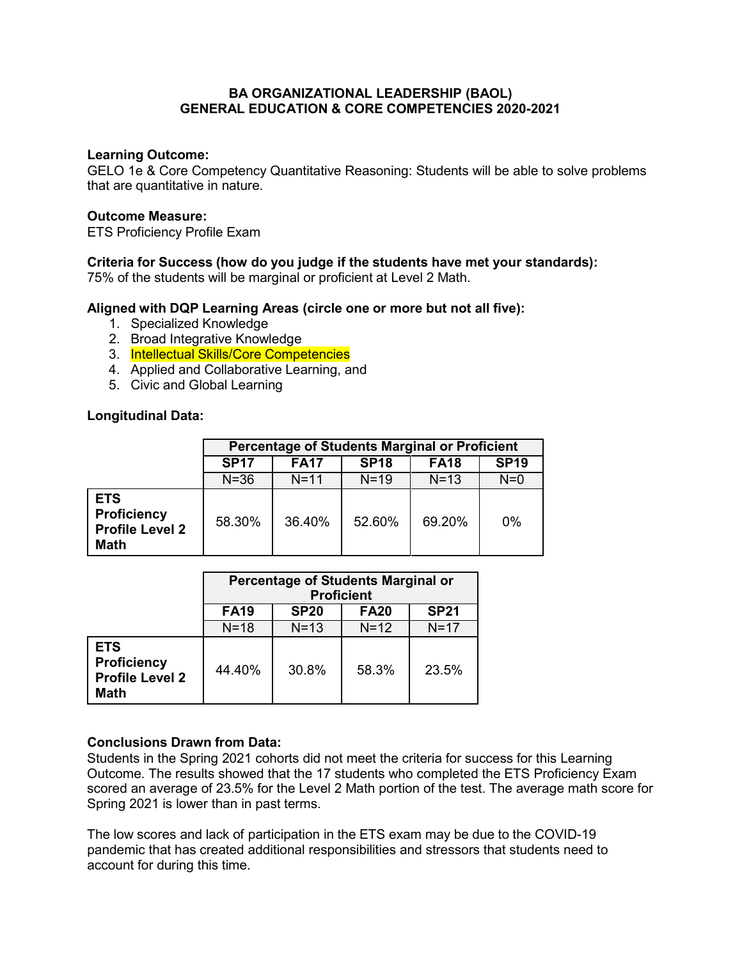## **BA ORGANIZATIONAL LEADERSHIP (BAOL) GENERAL EDUCATION & CORE COMPETENCIES 2020-2021**

#### **Learning Outcome:**

GELO 1e & Core Competency Quantitative Reasoning: Students will be able to solve problems that are quantitative in nature.

#### **Outcome Measure:**

ETS Proficiency Profile Exam

# **Criteria for Success (how do you judge if the students have met your standards):**

75% of the students will be marginal or proficient at Level 2 Math.

## **Aligned with DQP Learning Areas (circle one or more but not all five):**

- 1. Specialized Knowledge
- 2. Broad Integrative Knowledge
- 3. Intellectual Skills/Core Competencies
- 4. Applied and Collaborative Learning, and
- 5. Civic and Global Learning

## **Longitudinal Data:**

|                                                                           | <b>Percentage of Students Marginal or Proficient</b> |             |             |             |             |  |  |
|---------------------------------------------------------------------------|------------------------------------------------------|-------------|-------------|-------------|-------------|--|--|
|                                                                           | <b>SP17</b>                                          | <b>FA17</b> | <b>SP18</b> | <b>FA18</b> | <b>SP19</b> |  |  |
|                                                                           | $N = 36$                                             | $N = 11$    | $N = 19$    | $N=13$      | $N=0$       |  |  |
| <b>ETS</b><br><b>Proficiency</b><br><b>Profile Level 2</b><br><b>Math</b> | 58.30%                                               | 36.40%      | 52.60%      | 69.20%      | $0\%$       |  |  |

|                                                                           | Percentage of Students Marginal or<br><b>Proficient</b> |             |             |             |  |  |
|---------------------------------------------------------------------------|---------------------------------------------------------|-------------|-------------|-------------|--|--|
|                                                                           | <b>FA19</b>                                             | <b>SP20</b> | <b>FA20</b> | <b>SP21</b> |  |  |
|                                                                           | $N=18$                                                  | $N=13$      | $N=12$      | $N=17$      |  |  |
| <b>ETS</b><br><b>Proficiency</b><br><b>Profile Level 2</b><br><b>Math</b> | 44.40%                                                  | 30.8%       | 58.3%       | 23.5%       |  |  |

# **Conclusions Drawn from Data:**

Students in the Spring 2021 cohorts did not meet the criteria for success for this Learning Outcome. The results showed that the 17 students who completed the ETS Proficiency Exam scored an average of 23.5% for the Level 2 Math portion of the test. The average math score for Spring 2021 is lower than in past terms.

The low scores and lack of participation in the ETS exam may be due to the COVID-19 pandemic that has created additional responsibilities and stressors that students need to account for during this time.